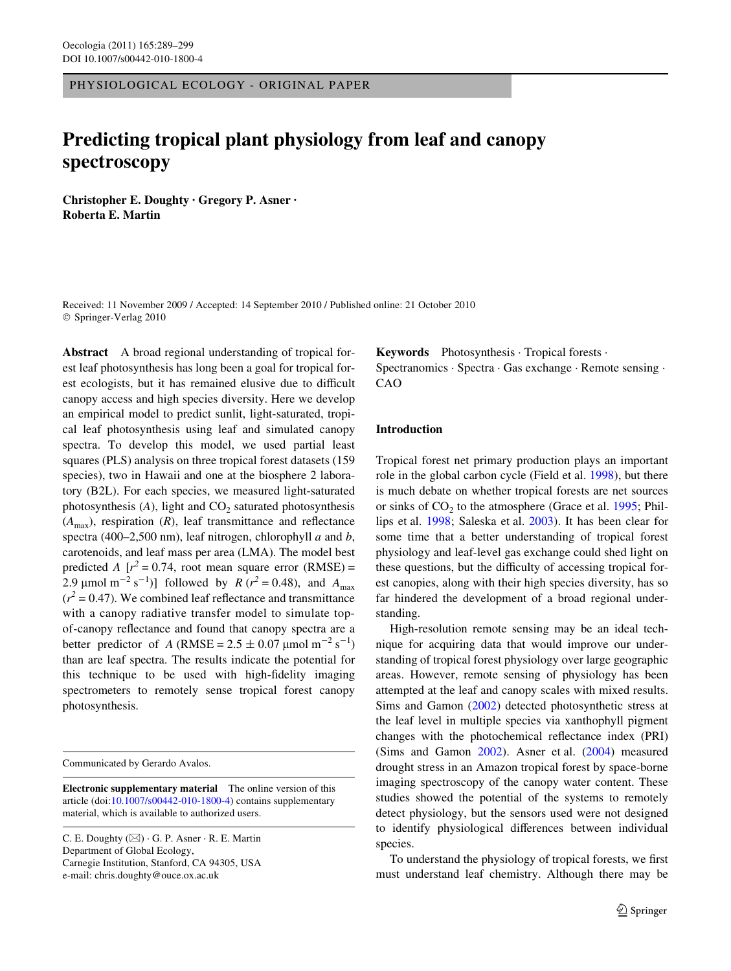PHYSIOLOGICAL ECOLOGY - ORIGINAL PAPER

# **Predicting tropical plant physiology from leaf and canopy spectroscopy**

**Christopher E. Doughty · Gregory P. Asner · Roberta E. Martin** 

Received: 11 November 2009 / Accepted: 14 September 2010 / Published online: 21 October 2010 © Springer-Verlag 2010

**Abstract** A broad regional understanding of tropical forest leaf photosynthesis has long been a goal for tropical forest ecologists, but it has remained elusive due to difficult canopy access and high species diversity. Here we develop an empirical model to predict sunlit, light-saturated, tropical leaf photosynthesis using leaf and simulated canopy spectra. To develop this model, we used partial least squares (PLS) analysis on three tropical forest datasets (159 species), two in Hawaii and one at the biosphere 2 laboratory (B2L). For each species, we measured light-saturated photosynthesis  $(A)$ , light and  $CO<sub>2</sub>$  saturated photosynthesis  $(A<sub>max</sub>)$ , respiration  $(R)$ , leaf transmittance and reflectance spectra (400–2,500 nm), leaf nitrogen, chlorophyll *a* and *b*, carotenoids, and leaf mass per area (LMA). The model best predicted *A*  $[r^2 = 0.74$ , root mean square error (RMSE) = 2.9  $\mu$ mol m<sup>-2</sup> s<sup>-1</sup>)] followed by *R* ( $r^2$  = 0.48), and *A*<sub>max</sub>  $(r^2 = 0.47)$ . We combined leaf reflectance and transmittance with a canopy radiative transfer model to simulate topof-canopy reflectance and found that canopy spectra are a better predictor of *A* (RMSE =  $2.5 \pm 0.07$  µmol m<sup>-2</sup> s<sup>-1</sup>) than are leaf spectra. The results indicate the potential for this technique to be used with high-fidelity imaging spectrometers to remotely sense tropical forest canopy photosynthesis.

Communicated by Gerardo Avalos.

**Electronic supplementary material** The online version of this article (doi[:10.1007/s00442-010-1800-4](http://dx.doi.org/10.1007/s00442-010-1800-4)) contains supplementary material, which is available to authorized users.

C. E. Doughty (&) · G. P. Asner · R. E. Martin Department of Global Ecology, Carnegie Institution, Stanford, CA 94305, USA e-mail: chris.doughty@ouce.ox.ac.uk

**Keywords** Photosynthesis · Tropical forests · Spectranomics · Spectra · Gas exchange · Remote sensing · CAO

## **Introduction**

Tropical forest net primary production plays an important role in the global carbon cycle (Field et al. [1998](#page-10-0)), but there is much debate on whether tropical forests are net sources or sinks of  $CO<sub>2</sub>$  to the atmosphere (Grace et al. [1995](#page-10-1); Phillips et al. [1998](#page-10-2); Saleska et al. [2003\)](#page-10-3). It has been clear for some time that a better understanding of tropical forest physiology and leaf-level gas exchange could shed light on these questions, but the difficulty of accessing tropical forest canopies, along with their high species diversity, has so far hindered the development of a broad regional understanding.

High-resolution remote sensing may be an ideal technique for acquiring data that would improve our understanding of tropical forest physiology over large geographic areas. However, remote sensing of physiology has been attempted at the leaf and canopy scales with mixed results. Sims and Gamon [\(2002\)](#page-10-4) detected photosynthetic stress at the leaf level in multiple species via xanthophyll pigment changes with the photochemical reflectance index (PRI) (Sims and Gamon [2002](#page-10-4)). Asner et al. [\(2004](#page-9-0)) measured drought stress in an Amazon tropical forest by space-borne imaging spectroscopy of the canopy water content. These studies showed the potential of the systems to remotely detect physiology, but the sensors used were not designed to identify physiological differences between individual species.

To understand the physiology of tropical forests, we first must understand leaf chemistry. Although there may be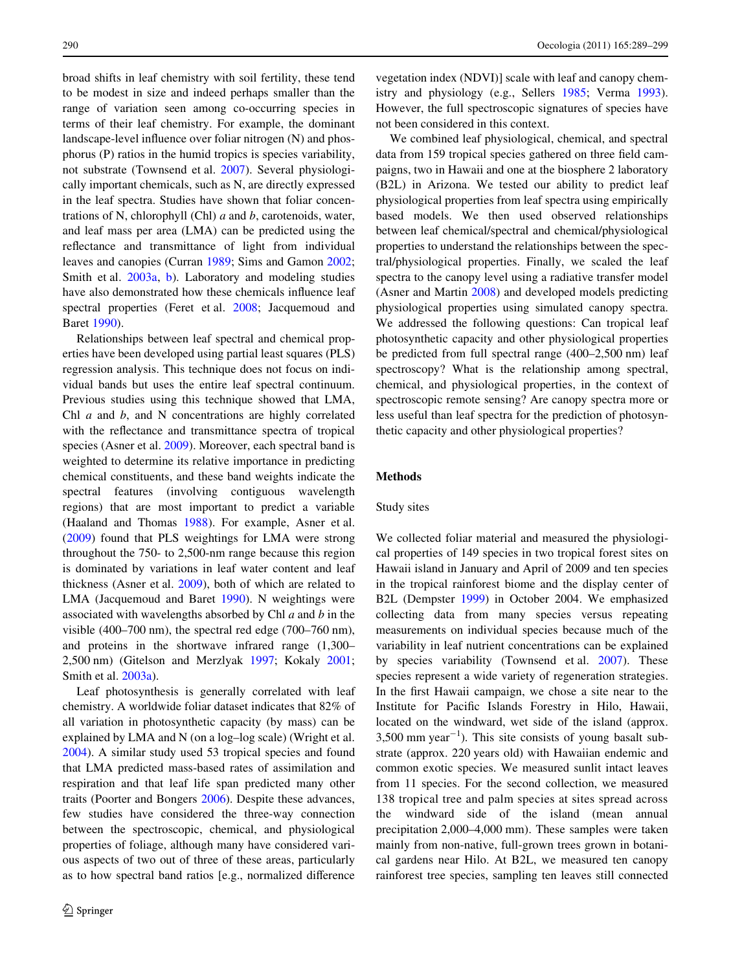broad shifts in leaf chemistry with soil fertility, these tend to be modest in size and indeed perhaps smaller than the range of variation seen among co-occurring species in terms of their leaf chemistry. For example, the dominant landscape-level influence over foliar nitrogen (N) and phosphorus (P) ratios in the humid tropics is species variability, not substrate (Townsend et al. [2007\)](#page-10-5). Several physiologically important chemicals, such as N, are directly expressed in the leaf spectra. Studies have shown that foliar concentrations of N, chlorophyll (Chl) *a* and *b*, carotenoids, water, and leaf mass per area (LMA) can be predicted using the reflectance and transmittance of light from individual leaves and canopies (Curran [1989](#page-9-1); Sims and Gamon [2002](#page-10-4); Smith et al. [2003a](#page-10-6), [b](#page-10-7)). Laboratory and modeling studies have also demonstrated how these chemicals influence leaf spectral properties (Feret et al. [2008;](#page-10-8) Jacquemoud and Baret [1990](#page-10-9)).

Relationships between leaf spectral and chemical properties have been developed using partial least squares (PLS) regression analysis. This technique does not focus on individual bands but uses the entire leaf spectral continuum. Previous studies using this technique showed that LMA, Chl *a* and *b*, and N concentrations are highly correlated with the reflectance and transmittance spectra of tropical species (Asner et al. [2009\)](#page-9-2). Moreover, each spectral band is weighted to determine its relative importance in predicting chemical constituents, and these band weights indicate the spectral features (involving contiguous wavelength regions) that are most important to predict a variable (Haaland and Thomas [1988\)](#page-10-10). For example, Asner et al. [\(2009](#page-9-2)) found that PLS weightings for LMA were strong throughout the 750- to 2,500-nm range because this region is dominated by variations in leaf water content and leaf thickness (Asner et al. [2009](#page-9-2)), both of which are related to LMA (Jacquemoud and Baret [1990\)](#page-10-9). N weightings were associated with wavelengths absorbed by Chl *a* and *b* in the visible (400–700 nm), the spectral red edge (700–760 nm), and proteins in the shortwave infrared range (1,300– 2,500 nm) (Gitelson and Merzlyak [1997](#page-10-11); Kokaly [2001](#page-10-12); Smith et al. [2003a\)](#page-10-6).

Leaf photosynthesis is generally correlated with leaf chemistry. A worldwide foliar dataset indicates that 82% of all variation in photosynthetic capacity (by mass) can be explained by LMA and N (on a log–log scale) (Wright et al. [2004](#page-10-13)). A similar study used 53 tropical species and found that LMA predicted mass-based rates of assimilation and respiration and that leaf life span predicted many other traits (Poorter and Bongers [2006\)](#page-10-14). Despite these advances, few studies have considered the three-way connection between the spectroscopic, chemical, and physiological properties of foliage, although many have considered various aspects of two out of three of these areas, particularly as to how spectral band ratios [e.g., normalized difference

vegetation index (NDVI)] scale with leaf and canopy chemistry and physiology (e.g., Sellers [1985;](#page-10-15) Verma [1993](#page-10-16)). However, the full spectroscopic signatures of species have not been considered in this context.

We combined leaf physiological, chemical, and spectral data from 159 tropical species gathered on three field campaigns, two in Hawaii and one at the biosphere 2 laboratory (B2L) in Arizona. We tested our ability to predict leaf physiological properties from leaf spectra using empirically based models. We then used observed relationships between leaf chemical/spectral and chemical/physiological properties to understand the relationships between the spectral/physiological properties. Finally, we scaled the leaf spectra to the canopy level using a radiative transfer model (Asner and Martin [2008](#page-9-3)) and developed models predicting physiological properties using simulated canopy spectra. We addressed the following questions: Can tropical leaf photosynthetic capacity and other physiological properties be predicted from full spectral range (400–2,500 nm) leaf spectroscopy? What is the relationship among spectral, chemical, and physiological properties, in the context of spectroscopic remote sensing? Are canopy spectra more or less useful than leaf spectra for the prediction of photosynthetic capacity and other physiological properties?

# **Methods**

### Study sites

We collected foliar material and measured the physiological properties of 149 species in two tropical forest sites on Hawaii island in January and April of 2009 and ten species in the tropical rainforest biome and the display center of B2L (Dempster [1999](#page-9-4)) in October 2004. We emphasized collecting data from many species versus repeating measurements on individual species because much of the variability in leaf nutrient concentrations can be explained by species variability (Townsend et al. [2007](#page-10-5)). These species represent a wide variety of regeneration strategies. In the first Hawaii campaign, we chose a site near to the Institute for Pacific Islands Forestry in Hilo, Hawaii, located on the windward, wet side of the island (approx.  $3,500$  mm year<sup>-1</sup>). This site consists of young basalt substrate (approx. 220 years old) with Hawaiian endemic and common exotic species. We measured sunlit intact leaves from 11 species. For the second collection, we measured 138 tropical tree and palm species at sites spread across the windward side of the island (mean annual precipitation 2,000–4,000 mm). These samples were taken mainly from non-native, full-grown trees grown in botanical gardens near Hilo. At B2L, we measured ten canopy rainforest tree species, sampling ten leaves still connected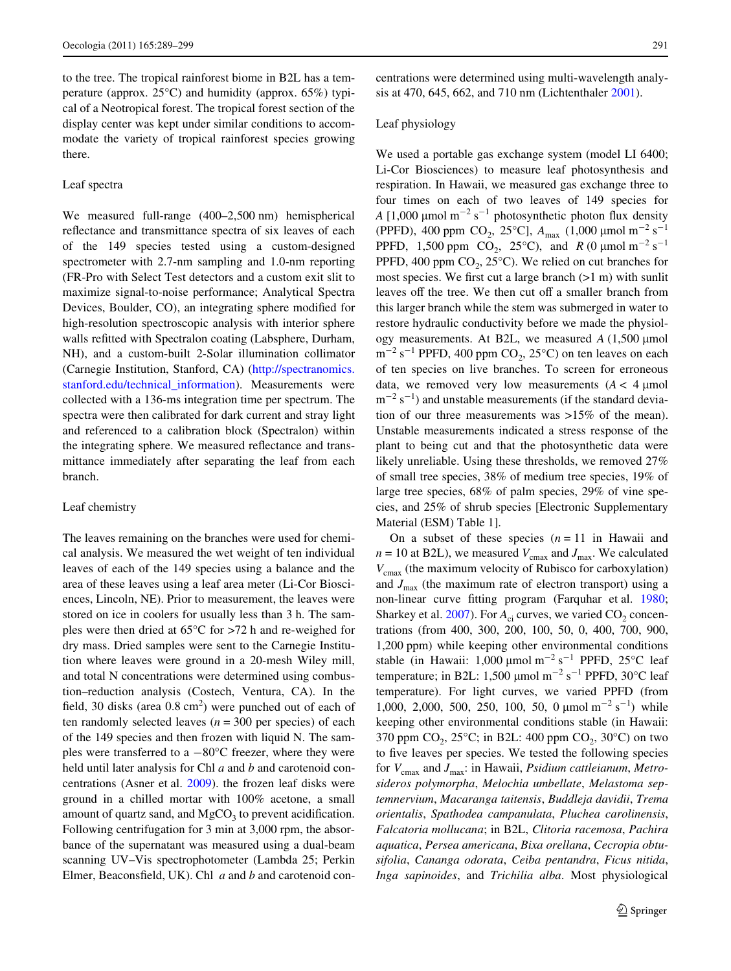to the tree. The tropical rainforest biome in B2L has a temperature (approx.  $25^{\circ}$ C) and humidity (approx.  $65\%$ ) typical of a Neotropical forest. The tropical forest section of the display center was kept under similar conditions to accommodate the variety of tropical rainforest species growing there.

## Leaf spectra

We measured full-range (400–2,500 nm) hemispherical reflectance and transmittance spectra of six leaves of each of the 149 species tested using a custom-designed spectrometer with 2.7-nm sampling and 1.0-nm reporting (FR-Pro with Select Test detectors and a custom exit slit to maximize signal-to-noise performance; Analytical Spectra Devices, Boulder, CO), an integrating sphere modified for high-resolution spectroscopic analysis with interior sphere walls refitted with Spectralon coating (Labsphere, Durham, NH), and a custom-built 2-Solar illumination collimator (Carnegie Institution, Stanford, CA) ([http://spectranomics.](http://spectranomics.stanford.edu/technical_information) [stanford.edu/technical\\_information\)](http://spectranomics.stanford.edu/technical_information). Measurements were collected with a 136-ms integration time per spectrum. The spectra were then calibrated for dark current and stray light and referenced to a calibration block (Spectralon) within the integrating sphere. We measured reflectance and transmittance immediately after separating the leaf from each branch.

### Leaf chemistry

The leaves remaining on the branches were used for chemical analysis. We measured the wet weight of ten individual leaves of each of the 149 species using a balance and the area of these leaves using a leaf area meter (Li-Cor Biosciences, Lincoln, NE). Prior to measurement, the leaves were stored on ice in coolers for usually less than 3 h. The samples were then dried at 65°C for >72 h and re-weighed for dry mass. Dried samples were sent to the Carnegie Institution where leaves were ground in a 20-mesh Wiley mill, and total N concentrations were determined using combustion–reduction analysis (Costech, Ventura, CA). In the field, 30 disks (area  $0.8 \text{ cm}^2$ ) were punched out of each of ten randomly selected leaves (*n* = 300 per species) of each of the 149 species and then frozen with liquid N. The samples were transferred to a  $-80^{\circ}$ C freezer, where they were held until later analysis for Chl *a* and *b* and carotenoid concentrations (Asner et al. [2009](#page-9-2)). the frozen leaf disks were ground in a chilled mortar with 100% acetone, a small amount of quartz sand, and  $MgCO<sub>3</sub>$  to prevent acidification. Following centrifugation for 3 min at 3,000 rpm, the absorbance of the supernatant was measured using a dual-beam scanning UV–Vis spectrophotometer (Lambda 25; Perkin Elmer, Beaconsfield, UK). Chl *a* and *b* and carotenoid concentrations were determined using multi-wavelength analysis at 470, 645, 662, and 710 nm (Lichtenthaler [2001\)](#page-10-17).

### Leaf physiology

We used a portable gas exchange system (model LI 6400; Li-Cor Biosciences) to measure leaf photosynthesis and respiration. In Hawaii, we measured gas exchange three to four times on each of two leaves of 149 species for  $A$  [1,000  $\mu$ mol m<sup>-2</sup> s<sup>-1</sup> photosynthetic photon flux density (PPFD), 400 ppm CO<sub>2</sub>, 25<sup>o</sup>C],  $A_{\text{max}}$  (1,000  $\mu$ mol m<sup>-2</sup> s<sup>-1</sup> PPFD, 1,500 ppm CO<sub>2</sub>, 25<sup>o</sup>C), and *R* (0  $\mu$ mol m<sup>-2</sup> s<sup>-1</sup> PPFD, 400 ppm  $CO<sub>2</sub>$ , 25 $^{\circ}$ C). We relied on cut branches for most species. We first cut a large branch  $(>1 \text{ m})$  with sunlit leaves off the tree. We then cut off a smaller branch from this larger branch while the stem was submerged in water to restore hydraulic conductivity before we made the physiology measurements. At B2L, we measured  $A(1,500 \text{ }\mu\text{mol})$  $\text{m}^{-2} \text{ s}^{-1}$  PPFD, 400 ppm CO<sub>2</sub>, 25°C) on ten leaves on each of ten species on live branches. To screen for erroneous data, we removed very low measurements  $(A < 4 \mu\text{mol})$  $\rm m^{-2}$  s<sup>-1</sup>) and unstable measurements (if the standard deviation of our three measurements was >15% of the mean). Unstable measurements indicated a stress response of the plant to being cut and that the photosynthetic data were likely unreliable. Using these thresholds, we removed 27% of small tree species, 38% of medium tree species, 19% of large tree species, 68% of palm species, 29% of vine species, and 25% of shrub species [Electronic Supplementary Material (ESM) Table 1].

On a subset of these species  $(n = 11)$  in Hawaii and  $n = 10$  at B2L), we measured  $V_{\text{cmax}}$  and  $J_{\text{max}}$ . We calculated *V*cmax (the maximum velocity of Rubisco for carboxylation) and  $J_{\text{max}}$  (the maximum rate of electron transport) using a non-linear curve fitting program (Farquhar et al. [1980;](#page-9-5) Sharkey et al.  $2007$ ). For  $A_{ci}$  curves, we varied  $CO_2$  concentrations (from 400, 300, 200, 100, 50, 0, 400, 700, 900, 1,200 ppm) while keeping other environmental conditions stable (in Hawaii: 1,000  $\mu$ mol m<sup>-2</sup> s<sup>-1</sup> PPFD, 25°C leaf temperature; in B2L: 1,500  $\mu$ mol m<sup>-2</sup> s<sup>-1</sup> PPFD, 30°C leaf temperature). For light curves, we varied PPFD (from 1,000, 2,000, 500, 250, 100, 50, 0  $\mu$ mol m<sup>-2</sup> s<sup>-1</sup>) while keeping other environmental conditions stable (in Hawaii: 370 ppm  $CO<sub>2</sub>$ , 25 $°C$ ; in B2L: 400 ppm  $CO<sub>2</sub>$ , 30 $°C$ ) on two to five leaves per species. We tested the following species for *V*cmax and *J*max: in Hawaii, *Psidium cattleianum*, *Metrosideros polymorpha*, *Melochia umbellate*, *Melastoma septemnervium*, *Macaranga taitensis*, *Buddleja davidii*, *Trema orientalis*, *Spathodea campanulata*, *Pluchea carolinensis*, *Falcatoria mollucana*; in B2L, *Clitoria racemosa*, *Pachira aquatica*, *Persea americana*, *Bixa orellana*, *Cecropia obtusifolia*, *Cananga odorata*, *Ceiba pentandra*, *Ficus nitida*, *Inga sapinoides*, and *Trichilia alba*. Most physiological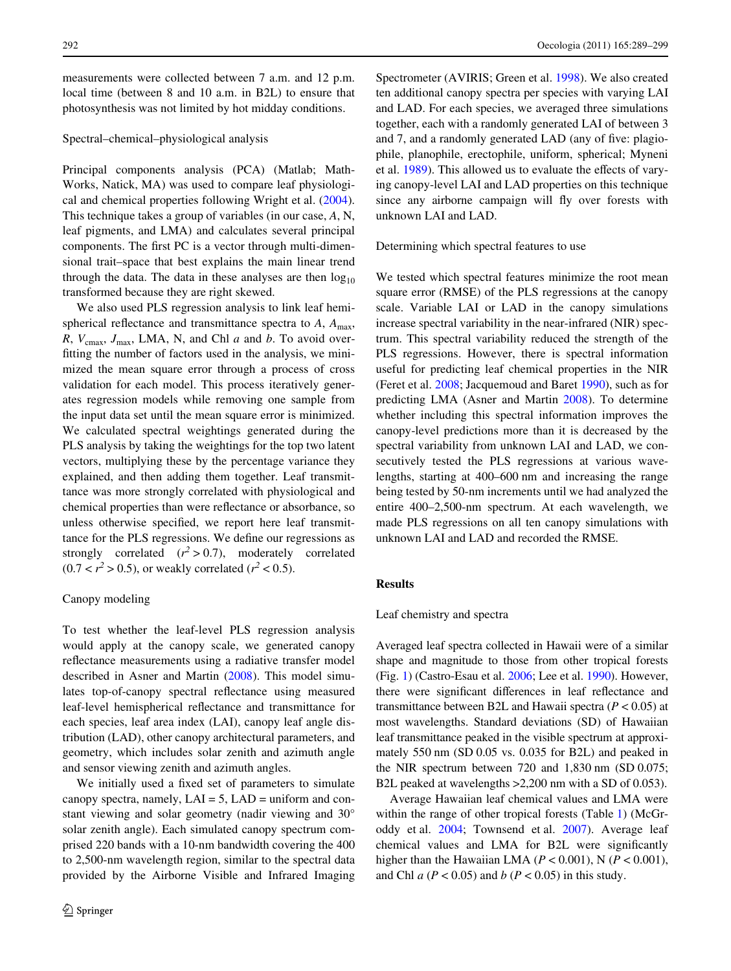measurements were collected between 7 a.m. and 12 p.m. local time (between 8 and 10 a.m. in B2L) to ensure that photosynthesis was not limited by hot midday conditions.

# Spectral–chemical–physiological analysis

Principal components analysis (PCA) (Matlab; Math-Works, Natick, MA) was used to compare leaf physiological and chemical properties following Wright et al. [\(2004](#page-10-13)). This technique takes a group of variables (in our case, *A*, N, leaf pigments, and LMA) and calculates several principal components. The first PC is a vector through multi-dimensional trait–space that best explains the main linear trend through the data. The data in these analyses are then  $log_{10}$ transformed because they are right skewed.

We also used PLS regression analysis to link leaf hemispherical reflectance and transmittance spectra to  $A$ ,  $A_{\text{max}}$ , *R*,  $V_{\text{cmax}}$ ,  $J_{\text{max}}$ , LMA, N, and Chl *a* and *b*. To avoid overfitting the number of factors used in the analysis, we minimized the mean square error through a process of cross validation for each model. This process iteratively generates regression models while removing one sample from the input data set until the mean square error is minimized. We calculated spectral weightings generated during the PLS analysis by taking the weightings for the top two latent vectors, multiplying these by the percentage variance they explained, and then adding them together. Leaf transmittance was more strongly correlated with physiological and chemical properties than were reflectance or absorbance, so unless otherwise specified, we report here leaf transmittance for the PLS regressions. We define our regressions as strongly correlated  $(r^2 > 0.7)$ , moderately correlated  $(0.7 < r^2 > 0.5)$ , or weakly correlated  $(r^2 < 0.5)$ .

### Canopy modeling

To test whether the leaf-level PLS regression analysis would apply at the canopy scale, we generated canopy reflectance measurements using a radiative transfer model described in Asner and Martin ([2008\)](#page-9-3). This model simulates top-of-canopy spectral reflectance using measured leaf-level hemispherical reflectance and transmittance for each species, leaf area index (LAI), canopy leaf angle distribution (LAD), other canopy architectural parameters, and geometry, which includes solar zenith and azimuth angle and sensor viewing zenith and azimuth angles.

We initially used a fixed set of parameters to simulate canopy spectra, namely,  $LAI = 5$ ,  $LAD =$  uniform and constant viewing and solar geometry (nadir viewing and 30° solar zenith angle). Each simulated canopy spectrum comprised 220 bands with a 10-nm bandwidth covering the 400 to 2,500-nm wavelength region, similar to the spectral data provided by the Airborne Visible and Infrared Imaging Spectrometer (AVIRIS; Green et al. [1998](#page-10-19)). We also created ten additional canopy spectra per species with varying LAI and LAD. For each species, we averaged three simulations together, each with a randomly generated LAI of between 3 and 7, and a randomly generated LAD (any of five: plagiophile, planophile, erectophile, uniform, spherical; Myneni et al. [1989](#page-10-20)). This allowed us to evaluate the effects of varying canopy-level LAI and LAD properties on this technique since any airborne campaign will fly over forests with unknown LAI and LAD.

Determining which spectral features to use

We tested which spectral features minimize the root mean square error (RMSE) of the PLS regressions at the canopy scale. Variable LAI or LAD in the canopy simulations increase spectral variability in the near-infrared (NIR) spectrum. This spectral variability reduced the strength of the PLS regressions. However, there is spectral information useful for predicting leaf chemical properties in the NIR (Feret et al. [2008](#page-10-8); Jacquemoud and Baret [1990\)](#page-10-9), such as for predicting LMA (Asner and Martin [2008\)](#page-9-3). To determine whether including this spectral information improves the canopy-level predictions more than it is decreased by the spectral variability from unknown LAI and LAD, we consecutively tested the PLS regressions at various wavelengths, starting at 400–600 nm and increasing the range being tested by 50-nm increments until we had analyzed the entire 400–2,500-nm spectrum. At each wavelength, we made PLS regressions on all ten canopy simulations with unknown LAI and LAD and recorded the RMSE.

## **Results**

## Leaf chemistry and spectra

Averaged leaf spectra collected in Hawaii were of a similar shape and magnitude to those from other tropical forests (Fig. [1](#page-4-0)) (Castro-Esau et al. [2006;](#page-9-6) Lee et al. [1990](#page-10-21)). However, there were significant differences in leaf reflectance and transmittance between B2L and Hawaii spectra (*P* < 0.05) at most wavelengths. Standard deviations (SD) of Hawaiian leaf transmittance peaked in the visible spectrum at approximately 550 nm (SD 0.05 vs. 0.035 for B2L) and peaked in the NIR spectrum between 720 and 1,830 nm (SD 0.075; B2L peaked at wavelengths >2,200 nm with a SD of 0.053).

Average Hawaiian leaf chemical values and LMA were within the range of other tropical forests (Table [1](#page-5-0)) (McGroddy et al. [2004](#page-10-22); Townsend et al. [2007](#page-10-5)). Average leaf chemical values and LMA for B2L were significantly higher than the Hawaiian LMA ( $P < 0.001$ ), N ( $P < 0.001$ ), and Chl *a* (*P* < 0.05) and *b* (*P* < 0.05) in this study.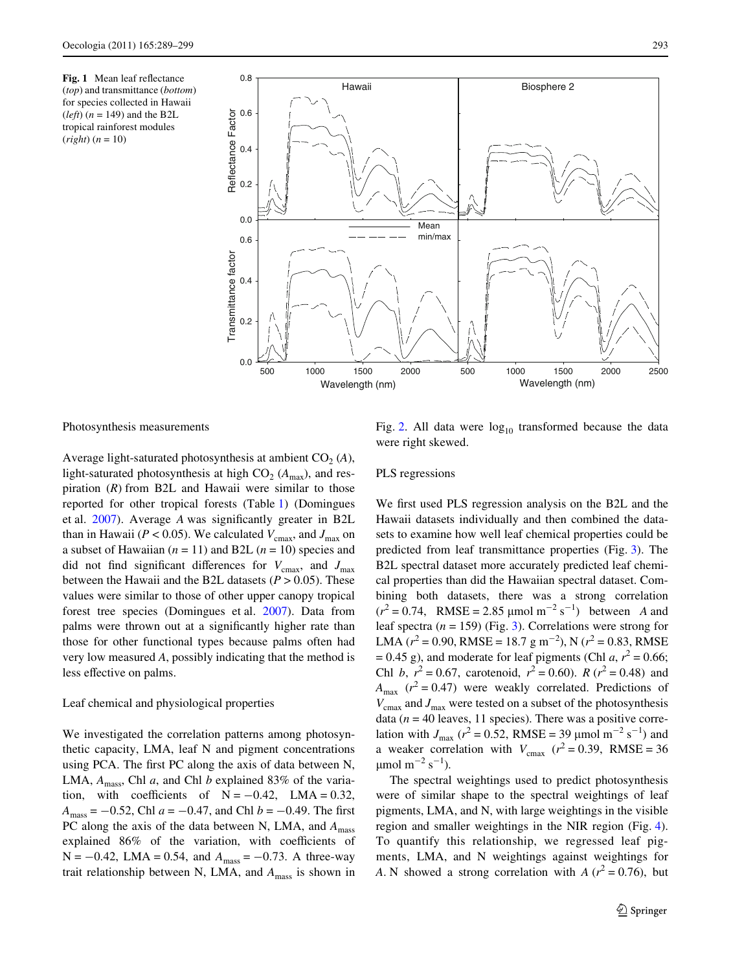<span id="page-4-0"></span>



Photosynthesis measurements

Average light-saturated photosynthesis at ambient  $CO<sub>2</sub>(A)$ , light-saturated photosynthesis at high  $CO_2$  ( $A_{\text{max}}$ ), and respiration (*R*) from B2L and Hawaii were similar to those reported for other tropical forests (Table [1\)](#page-5-0) (Domingues et al. [2007](#page-9-7)). Average *A* was significantly greater in B2L than in Hawaii ( $P < 0.05$ ). We calculated  $V_{\text{cmax}}$ , and  $J_{\text{max}}$  on a subset of Hawaiian  $(n = 11)$  and B2L  $(n = 10)$  species and did not find significant differences for  $V_{\text{cmax}}$ , and  $J_{\text{max}}$ between the Hawaii and the B2L datasets  $(P > 0.05)$ . These values were similar to those of other upper canopy tropical forest tree species (Domingues et al. [2007\)](#page-9-7). Data from palms were thrown out at a significantly higher rate than those for other functional types because palms often had very low measured *A*, possibly indicating that the method is less effective on palms.

# Leaf chemical and physiological properties

We investigated the correlation patterns among photosynthetic capacity, LMA, leaf N and pigment concentrations using PCA. The first PC along the axis of data between N, LMA,  $A_{\text{mass}}$ , Chl *a*, and Chl *b* explained 83% of the variation, with coefficients of  $N = -0.42$ , LMA = 0.32,  $A_{\text{mass}} = -0.52$ , Chl  $a = -0.47$ , and Chl  $b = -0.49$ . The first PC along the axis of the data between N, LMA, and  $A<sub>mass</sub>$ explained 86% of the variation, with coefficients of  $N = -0.42$ , LMA = 0.54, and  $A<sub>mass</sub> = -0.73$ . A three-way trait relationship between N, LMA, and  $A<sub>mass</sub>$  is shown in

Fig. [2.](#page-6-0) All data were  $log_{10}$  transformed because the data were right skewed.

### PLS regressions

We first used PLS regression analysis on the B2L and the Hawaii datasets individually and then combined the datasets to examine how well leaf chemical properties could be predicted from leaf transmittance properties (Fig. [3\)](#page-7-0). The B2L spectral dataset more accurately predicted leaf chemical properties than did the Hawaiian spectral dataset. Combining both datasets, there was a strong correlation  $(r^2 = 0.74$ , RMSE = 2.85 µmol m<sup>-2</sup> s<sup>-1</sup>) between *A* and leaf spectra  $(n = 159)$  (Fig. [3\)](#page-7-0). Correlations were strong for LMA ( $r^2 = 0.90$ , RMSE = 18.7 g m<sup>-2</sup>), N ( $r^2 = 0.83$ , RMSE  $= 0.45$  g), and moderate for leaf pigments (Chl *a*,  $r^2 = 0.66$ ; Chl *b*,  $r^2 = 0.67$ , carotenoid,  $r^2 = 0.60$ ). *R* ( $r^2 = 0.48$ ) and  $A_{\text{max}}$  ( $r^2 = 0.47$ ) were weakly correlated. Predictions of  $V_{\text{cmax}}$  and  $J_{\text{max}}$  were tested on a subset of the photosynthesis data ( $n = 40$  leaves, 11 species). There was a positive correlation with  $J_{\text{max}}$  ( $r^2 = 0.52$ , RMSE = 39  $\mu$ mol m<sup>-2</sup> s<sup>-1</sup>) and a weaker correlation with  $V_{\text{cmax}}$  ( $r^2 = 0.39$ , RMSE = 36  $\mu$ mol m<sup>-2</sup> s<sup>-1</sup>).

The spectral weightings used to predict photosynthesis were of similar shape to the spectral weightings of leaf pigments, LMA, and N, with large weightings in the visible region and smaller weightings in the NIR region (Fig. [4](#page-8-0)). To quantify this relationship, we regressed leaf pigments, LMA, and N weightings against weightings for *A*. N showed a strong correlation with *A* ( $r^2 = 0.76$ ), but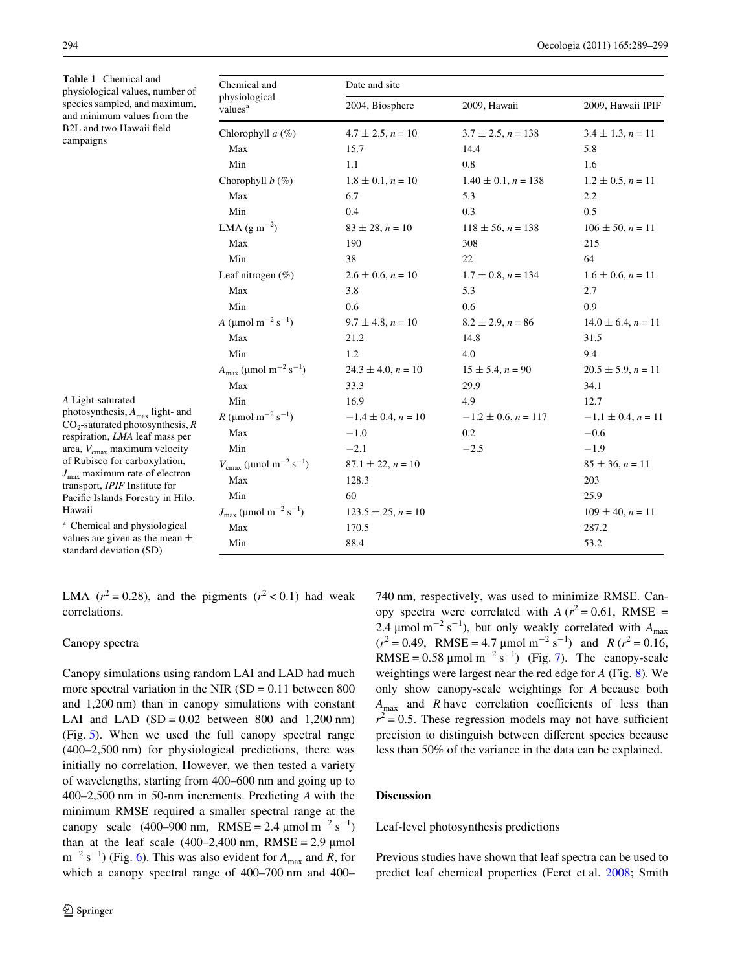<span id="page-5-0"></span>**Table 1** Chemical and physiological values, number of species sampled, and maximum, and minimum values from the B2L and two Hawaii field campaigns

| Chemical and<br>physiological<br>values <sup>a</sup>      | Date and site             |                            |                           |
|-----------------------------------------------------------|---------------------------|----------------------------|---------------------------|
|                                                           | 2004, Biosphere           | 2009, Hawaii               | 2009, Hawaii IPIF         |
| Chlorophyll $a(\%)$                                       | $4.7 \pm 2.5, n = 10$     | $3.7 \pm 2.5$ , $n = 138$  | $3.4 \pm 1.3$ , $n = 11$  |
| Max                                                       | 15.7                      | 14.4                       | 5.8                       |
| Min                                                       | 1.1                       | 0.8                        | 1.6                       |
| Chorophyll $b$ (%)                                        | $1.8 \pm 0.1$ , $n = 10$  | $1.40 \pm 0.1$ , $n = 138$ | $1.2 \pm 0.5$ , $n = 11$  |
| Max                                                       | 6.7                       | 5.3                        | 2.2                       |
| Min                                                       | 0.4                       | 0.3                        | 0.5                       |
| LMA $(g m^{-2})$                                          | $83 \pm 28$ , $n = 10$    | $118 \pm 56$ , $n = 138$   | $106 \pm 50$ , $n = 11$   |
| Max                                                       | 190                       | 308                        | 215                       |
| Min                                                       | 38                        | 22                         | 64                        |
| Leaf nitrogen $(\% )$                                     | $2.6 \pm 0.6$ , $n = 10$  | $1.7 \pm 0.8$ , $n = 134$  | $1.6 \pm 0.6$ , $n = 11$  |
| Max                                                       | 3.8                       | 5.3                        | 2.7                       |
| Min                                                       | 0.6                       | 0.6                        | 0.9                       |
| A (µmol m <sup>-2</sup> s <sup>-1</sup> )                 | $9.7 \pm 4.8$ , $n = 10$  | $8.2 \pm 2.9$ , $n = 86$   | $14.0 \pm 6.4$ , $n = 11$ |
| Max                                                       | 21.2                      | 14.8                       | 31.5                      |
| Min                                                       | 1.2                       | 4.0                        | 9.4                       |
| $A_{\text{max}} (\mu \text{mol m}^{-2} \text{ s}^{-1})$   | $24.3 \pm 4.0$ , $n = 10$ | $15 \pm 5.4$ , $n = 90$    | $20.5 \pm 5.9$ , $n = 11$ |
| Max                                                       | 33.3                      | 29.9                       | 34.1                      |
| Min                                                       | 16.9                      | 4.9                        | 12.7                      |
| $R \text{ (µmol m}^{-2} \text{ s}^{-1})$                  | $-1.4 \pm 0.4$ , $n = 10$ | $-1.2 \pm 0.6$ , $n = 117$ | $-1.1 \pm 0.4$ , $n = 11$ |
| Max                                                       | $-1.0$                    | 0.2                        | $-0.6$                    |
| Min                                                       | $-2.1$                    | $-2.5$                     | $-1.9$                    |
| $V_{\text{cmax}}$ (µmol m <sup>-2</sup> s <sup>-1</sup> ) | $87.1 \pm 22$ , $n = 10$  |                            | $85 \pm 36$ , $n = 11$    |
| Max                                                       | 128.3                     |                            | 203                       |
| Min                                                       | 60                        |                            | 25.9                      |
| $J_{\text{max}}$ (µmol m <sup>-2</sup> s <sup>-1</sup> )  | $123.5 \pm 25$ , $n = 10$ |                            | $109 \pm 40$ , $n = 11$   |
| Max                                                       | 170.5                     |                            | 287.2                     |
| Min                                                       | 88.4                      |                            | 53.2                      |

*A* Light-saturated

photosynthesis, *A*max light- and CO<sub>2</sub>-saturated photosynthesis, R respiration, *LMA* leaf mass per area,  $V_{\text{cmax}}$  maximum velocity of Rubisco for carboxylation, *J*max maximum rate of electron transport, *IPIF* Institute for Pacific Islands Forestry in Hilo, Hawaii

<sup>a</sup> Chemical and physiological values are given as the mean  $\pm$ standard deviation (SD)

LMA ( $r^2 = 0.28$ ), and the pigments ( $r^2 < 0.1$ ) had weak correlations.

## Canopy spectra

Canopy simulations using random LAI and LAD had much more spectral variation in the NIR  $(SD = 0.11)$  between 800 and 1,200 nm) than in canopy simulations with constant LAI and LAD  $(SD = 0.02$  between 800 and 1,200 nm) (Fig. [5\)](#page-8-1). When we used the full canopy spectral range (400–2,500 nm) for physiological predictions, there was initially no correlation. However, we then tested a variety of wavelengths, starting from 400–600 nm and going up to 400–2,500 nm in 50-nm increments. Predicting *A* with the minimum RMSE required a smaller spectral range at the canopy scale  $(400-900 \text{ nm}, \text{ RMSE} = 2.4 \text{ µmol m}^{-2} \text{ s}^{-1})$ than at the leaf scale  $(400-2,400)$  nm, RMSE = 2.9  $\mu$ mol  $m^{-2}$  s<sup>-1</sup>) (Fig. [6\)](#page-8-2). This was also evident for  $A_{\text{max}}$  and *R*, for which a canopy spectral range of 400–700 nm and 400–

740 nm, respectively, was used to minimize RMSE. Canopy spectra were correlated with  $A (r^2 = 0.61, RMSE =$ 2.4  $\mu$ mol m<sup>-2</sup> s<sup>-1</sup>), but only weakly correlated with  $A_{\text{max}}$  $(r^2 = 0.49$ , RMSE = 4.7 µmol m<sup>-2</sup> s<sup>-1</sup>) and *R* ( $r^2 = 0.16$ , RMSE =  $0.58 \mu$ mol m<sup>-2</sup> s<sup>-1</sup>) (Fig. [7\)](#page-9-8). The canopy-scale weightings were largest near the red edge for *A* (Fig. [8](#page-9-9)). We only show canopy-scale weightings for *A* because both  $A_{\text{max}}$  and *R* have correlation coefficients of less than  $r^2 = 0.5$ . These regression models may not have sufficient precision to distinguish between different species because less than 50% of the variance in the data can be explained.

## **Discussion**

Leaf-level photosynthesis predictions

Previous studies have shown that leaf spectra can be used to predict leaf chemical properties (Feret et al. [2008](#page-10-8); Smith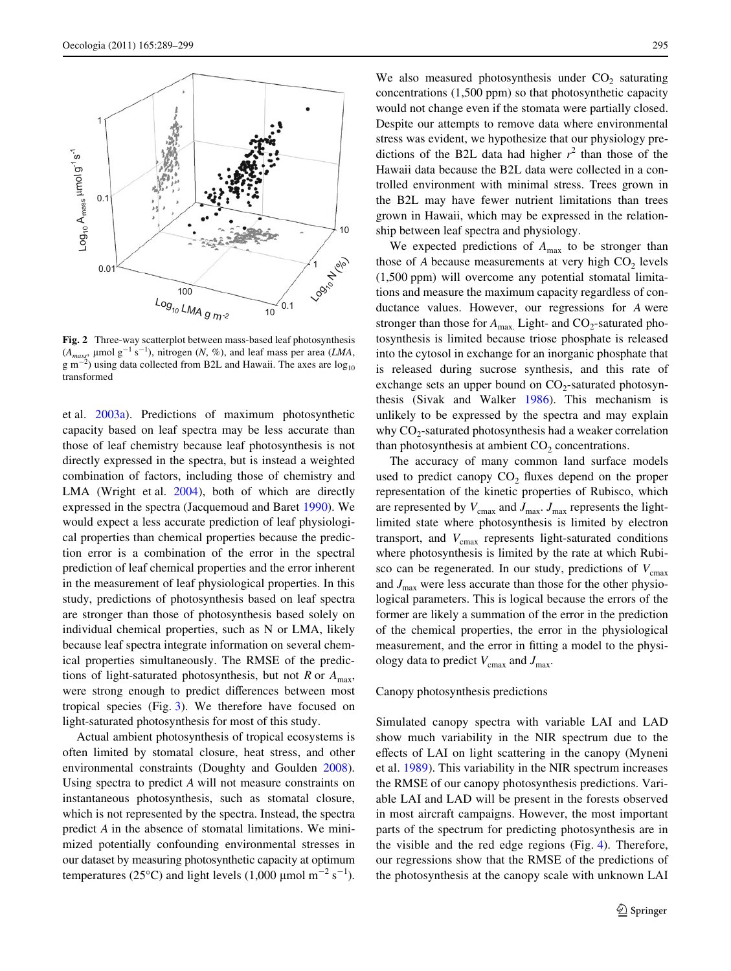

<span id="page-6-0"></span>**Fig. 2** Three-way scatterplot between mass-based leaf photosynthesis  $(A_{mass}$ ,  $\mu$ mol g<sup>-1</sup> s<sup>-1</sup>), nitrogen (*N*, %), and leaf mass per area (*LMA*,  $\rm g~m^{-2}$ ) using data collected from B2L and Hawaii. The axes are  $\log_{10}$ transformed

et al. [2003a\)](#page-10-6). Predictions of maximum photosynthetic capacity based on leaf spectra may be less accurate than those of leaf chemistry because leaf photosynthesis is not directly expressed in the spectra, but is instead a weighted combination of factors, including those of chemistry and LMA (Wright et al. [2004\)](#page-10-13), both of which are directly expressed in the spectra (Jacquemoud and Baret [1990\)](#page-10-9). We would expect a less accurate prediction of leaf physiological properties than chemical properties because the prediction error is a combination of the error in the spectral prediction of leaf chemical properties and the error inherent in the measurement of leaf physiological properties. In this study, predictions of photosynthesis based on leaf spectra are stronger than those of photosynthesis based solely on individual chemical properties, such as N or LMA, likely because leaf spectra integrate information on several chemical properties simultaneously. The RMSE of the predictions of light-saturated photosynthesis, but not *R* or  $A_{\text{max}}$ , were strong enough to predict differences between most tropical species (Fig. [3](#page-7-0)). We therefore have focused on light-saturated photosynthesis for most of this study.

Actual ambient photosynthesis of tropical ecosystems is often limited by stomatal closure, heat stress, and other environmental constraints (Doughty and Goulden [2008](#page-9-10)). Using spectra to predict *A* will not measure constraints on instantaneous photosynthesis, such as stomatal closure, which is not represented by the spectra. Instead, the spectra predict *A* in the absence of stomatal limitations. We minimized potentially confounding environmental stresses in our dataset by measuring photosynthetic capacity at optimum temperatures (25°C) and light levels (1,000  $\mu$ mol m<sup>-2</sup> s<sup>-1</sup>).

We also measured photosynthesis under  $CO<sub>2</sub>$  saturating concentrations (1,500 ppm) so that photosynthetic capacity would not change even if the stomata were partially closed. Despite our attempts to remove data where environmental stress was evident, we hypothesize that our physiology predictions of the B2L data had higher  $r^2$  than those of the Hawaii data because the B2L data were collected in a controlled environment with minimal stress. Trees grown in the B2L may have fewer nutrient limitations than trees grown in Hawaii, which may be expressed in the relationship between leaf spectra and physiology.

We expected predictions of  $A_{\text{max}}$  to be stronger than those of  $A$  because measurements at very high  $CO<sub>2</sub>$  levels (1,500 ppm) will overcome any potential stomatal limitations and measure the maximum capacity regardless of conductance values. However, our regressions for *A* were stronger than those for  $A_{\text{max}}$ . Light- and  $CO_2$ -saturated photosynthesis is limited because triose phosphate is released into the cytosol in exchange for an inorganic phosphate that is released during sucrose synthesis, and this rate of exchange sets an upper bound on  $CO<sub>2</sub>$ -saturated photosynthesis (Sivak and Walker [1986](#page-10-23)). This mechanism is unlikely to be expressed by the spectra and may explain why  $CO<sub>2</sub>$ -saturated photosynthesis had a weaker correlation than photosynthesis at ambient  $CO<sub>2</sub>$  concentrations.

The accuracy of many common land surface models used to predict canopy  $CO<sub>2</sub>$  fluxes depend on the proper representation of the kinetic properties of Rubisco, which are represented by  $V_{\text{cmax}}$  and  $J_{\text{max}}$ . *J*<sub>max</sub> represents the lightlimited state where photosynthesis is limited by electron transport, and  $V_{\text{cmax}}$  represents light-saturated conditions where photosynthesis is limited by the rate at which Rubisco can be regenerated. In our study, predictions of  $V_{\text{cmax}}$ and  $J_{\text{max}}$  were less accurate than those for the other physiological parameters. This is logical because the errors of the former are likely a summation of the error in the prediction of the chemical properties, the error in the physiological measurement, and the error in fitting a model to the physiology data to predict  $V_{\text{cmax}}$  and  $J_{\text{max}}$ .

#### Canopy photosynthesis predictions

Simulated canopy spectra with variable LAI and LAD show much variability in the NIR spectrum due to the effects of LAI on light scattering in the canopy (Myneni et al. [1989\)](#page-10-20). This variability in the NIR spectrum increases the RMSE of our canopy photosynthesis predictions. Variable LAI and LAD will be present in the forests observed in most aircraft campaigns. However, the most important parts of the spectrum for predicting photosynthesis are in the visible and the red edge regions (Fig. [4\)](#page-8-0). Therefore, our regressions show that the RMSE of the predictions of the photosynthesis at the canopy scale with unknown LAI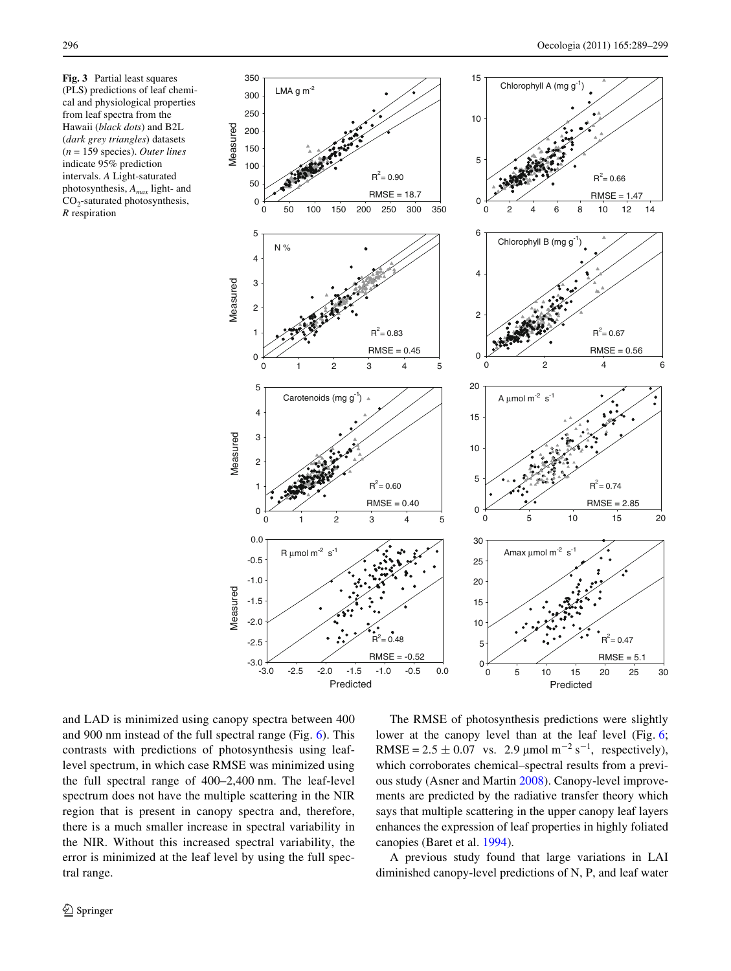<span id="page-7-0"></span>**Fig. 3** Partial least squares (PLS) predictions of leaf chemical and physiological properties from leaf spectra from the Hawaii (*black dots*) and B2L (*dark grey triangles*) datasets (*n* = 159 species). *Outer lines* indicate 95% prediction intervals. *A* Light-saturated photosynthesis, *Amax* light- and  $CO<sub>2</sub>$ -saturated photosynthesis, *R* respiration



and LAD is minimized using canopy spectra between 400 and 900 nm instead of the full spectral range (Fig. [6\)](#page-8-2). This contrasts with predictions of photosynthesis using leaflevel spectrum, in which case RMSE was minimized using the full spectral range of 400–2,400 nm. The leaf-level spectrum does not have the multiple scattering in the NIR region that is present in canopy spectra and, therefore, there is a much smaller increase in spectral variability in the NIR. Without this increased spectral variability, the error is minimized at the leaf level by using the full spectral range.

The RMSE of photosynthesis predictions were slightly lower at the canopy level than at the leaf level (Fig. [6;](#page-8-2) RMSE =  $2.5 \pm 0.07$  vs. 2.9 µmol m<sup>-2</sup> s<sup>-1</sup>, respectively), which corroborates chemical–spectral results from a previous study (Asner and Martin [2008](#page-9-3)). Canopy-level improvements are predicted by the radiative transfer theory which says that multiple scattering in the upper canopy leaf layers enhances the expression of leaf properties in highly foliated canopies (Baret et al. [1994](#page-9-11)).

A previous study found that large variations in LAI diminished canopy-level predictions of N, P, and leaf water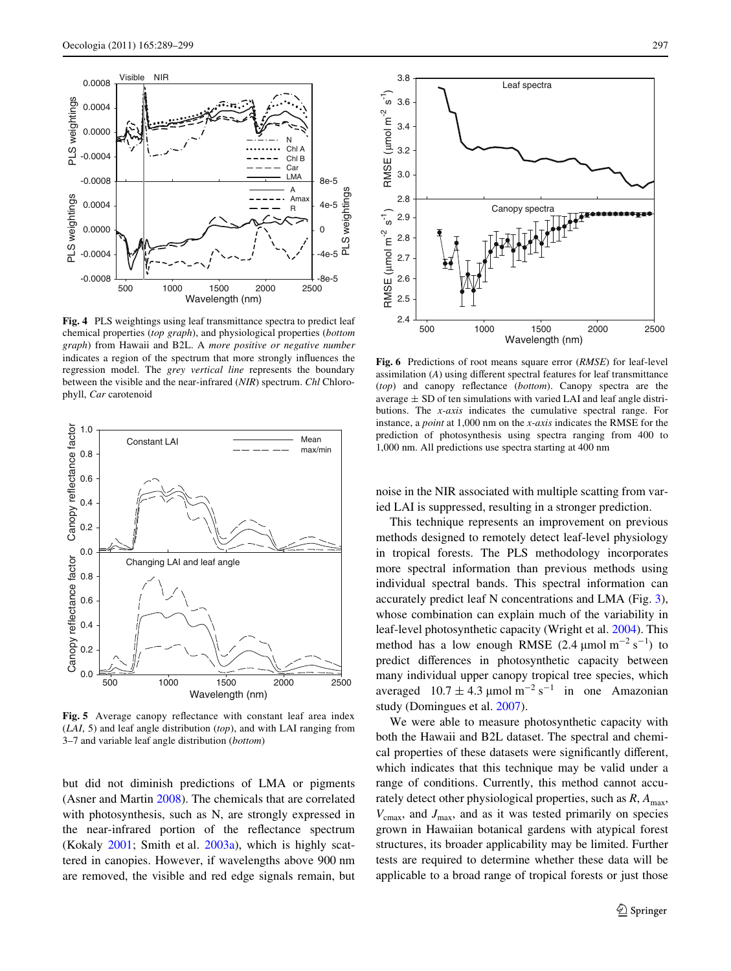

<span id="page-8-0"></span>**Fig. 4** PLS weightings using leaf transmittance spectra to predict leaf chemical properties (*top graph*), and physiological properties (*bottom graph*) from Hawaii and B2L. A *more positive or negative number* indicates a region of the spectrum that more strongly influences the regression model. The *grey vertical line* represents the boundary between the visible and the near-infrared (*NIR*) spectrum. *Chl* Chloro-



<span id="page-8-1"></span>Fig. 5 Average canopy reflectance with constant leaf area index (*LAI*, 5) and leaf angle distribution (*top*), and with LAI ranging from 3–7 and variable leaf angle distribution (*bottom*)

but did not diminish predictions of LMA or pigments (Asner and Martin [2008\)](#page-9-3). The chemicals that are correlated with photosynthesis, such as N, are strongly expressed in the near-infrared portion of the reflectance spectrum (Kokaly [2001;](#page-10-12) Smith et al. [2003a](#page-10-6)), which is highly scattered in canopies. However, if wavelengths above 900 nm are removed, the visible and red edge signals remain, but



<span id="page-8-2"></span>**Fig. 6** Predictions of root means square error (*RMSE*) for leaf-level assimilation  $(A)$  using different spectral features for leaf transmittance (*top*) and canopy reflectance (*bottom*). Canopy spectra are the average  $\pm$  SD of ten simulations with varied LAI and leaf angle distributions. The *x-axis* indicates the cumulative spectral range. For instance, a *point* at 1,000 nm on the *x-axis* indicates the RMSE for the prediction of photosynthesis using spectra ranging from 400 to 1,000 nm. All predictions use spectra starting at 400 nm

noise in the NIR associated with multiple scatting from varied LAI is suppressed, resulting in a stronger prediction.

This technique represents an improvement on previous methods designed to remotely detect leaf-level physiology in tropical forests. The PLS methodology incorporates more spectral information than previous methods using individual spectral bands. This spectral information can accurately predict leaf N concentrations and LMA (Fig. [3](#page-7-0)), whose combination can explain much of the variability in leaf-level photosynthetic capacity (Wright et al. [2004](#page-10-13)). This method has a low enough RMSE  $(2.4 \text{ \mu mol m}^{-2} \text{ s}^{-1})$  to predict differences in photosynthetic capacity between many individual upper canopy tropical tree species, which averaged  $10.7 \pm 4.3 \,\mathrm{\mu mol \, m^{-2} \, s^{-1}}$  in one Amazonian study (Domingues et al. [2007](#page-9-7)).

We were able to measure photosynthetic capacity with both the Hawaii and B2L dataset. The spectral and chemical properties of these datasets were significantly different, which indicates that this technique may be valid under a range of conditions. Currently, this method cannot accurately detect other physiological properties, such as  $R$ ,  $A_{\text{max}}$ ,  $V_{\text{cmax}}$ , and  $J_{\text{max}}$ , and as it was tested primarily on species grown in Hawaiian botanical gardens with atypical forest structures, its broader applicability may be limited. Further tests are required to determine whether these data will be applicable to a broad range of tropical forests or just those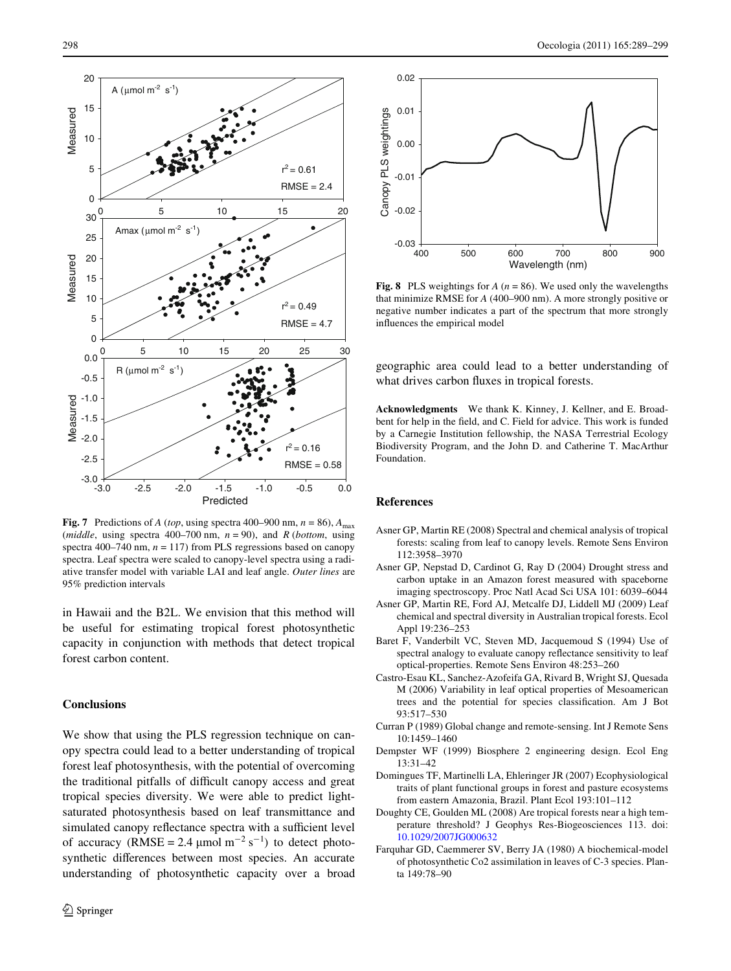

<span id="page-9-8"></span>**Fig. 7** Predictions of *A* (*top*, using spectra 400–900 nm,  $n = 86$ ),  $A_{\text{max}}$ (*middle*, using spectra 400–700 nm,  $n = 90$ ), and *R* (*bottom*, using spectra 400–740 nm,  $n = 117$ ) from PLS regressions based on canopy spectra. Leaf spectra were scaled to canopy-level spectra using a radiative transfer model with variable LAI and leaf angle. *Outer lines* are 95% prediction intervals

in Hawaii and the B2L. We envision that this method will be useful for estimating tropical forest photosynthetic capacity in conjunction with methods that detect tropical forest carbon content.

# **Conclusions**

We show that using the PLS regression technique on canopy spectra could lead to a better understanding of tropical forest leaf photosynthesis, with the potential of overcoming the traditional pitfalls of difficult canopy access and great tropical species diversity. We were able to predict lightsaturated photosynthesis based on leaf transmittance and simulated canopy reflectance spectra with a sufficient level of accuracy (RMSE = 2.4  $\mu$ mol m<sup>-2</sup> s<sup>-1</sup>) to detect photosynthetic differences between most species. An accurate understanding of photosynthetic capacity over a broad



<span id="page-9-9"></span>**Fig. 8** PLS weightings for  $A(n = 86)$ . We used only the wavelengths that minimize RMSE for *A* (400–900 nm). A more strongly positive or negative number indicates a part of the spectrum that more strongly influences the empirical model

geographic area could lead to a better understanding of what drives carbon fluxes in tropical forests.

**Acknowledgments** We thank K. Kinney, J. Kellner, and E. Broadbent for help in the field, and C. Field for advice. This work is funded by a Carnegie Institution fellowship, the NASA Terrestrial Ecology Biodiversity Program, and the John D. and Catherine T. MacArthur Foundation.

## **References**

- <span id="page-9-3"></span>Asner GP, Martin RE (2008) Spectral and chemical analysis of tropical forests: scaling from leaf to canopy levels. Remote Sens Environ 112:3958–3970
- <span id="page-9-0"></span>Asner GP, Nepstad D, Cardinot G, Ray D (2004) Drought stress and carbon uptake in an Amazon forest measured with spaceborne imaging spectroscopy. Proc Natl Acad Sci USA 101: 6039–6044
- <span id="page-9-2"></span>Asner GP, Martin RE, Ford AJ, Metcalfe DJ, Liddell MJ (2009) Leaf chemical and spectral diversity in Australian tropical forests. Ecol Appl 19:236–253
- <span id="page-9-11"></span>Baret F, Vanderbilt VC, Steven MD, Jacquemoud S (1994) Use of spectral analogy to evaluate canopy reflectance sensitivity to leaf optical-properties. Remote Sens Environ 48:253–260
- <span id="page-9-6"></span>Castro-Esau KL, Sanchez-Azofeifa GA, Rivard B, Wright SJ, Quesada M (2006) Variability in leaf optical properties of Mesoamerican trees and the potential for species classification. Am J Bot 93:517–530
- <span id="page-9-1"></span>Curran P (1989) Global change and remote-sensing. Int J Remote Sens 10:1459–1460
- <span id="page-9-4"></span>Dempster WF (1999) Biosphere 2 engineering design. Ecol Eng 13:31–42
- <span id="page-9-7"></span>Domingues TF, Martinelli LA, Ehleringer JR (2007) Ecophysiological traits of plant functional groups in forest and pasture ecosystems from eastern Amazonia, Brazil. Plant Ecol 193:101–112
- <span id="page-9-10"></span>Doughty CE, Goulden ML (2008) Are tropical forests near a high temperature threshold? J Geophys Res-Biogeosciences 113. doi: [10.1029/2007JG000632](http://dx.doi.org/10.1029/2007JG000632)
- <span id="page-9-5"></span>Farquhar GD, Caemmerer SV, Berry JA (1980) A biochemical-model of photosynthetic Co2 assimilation in leaves of C-3 species. Planta 149:78–90